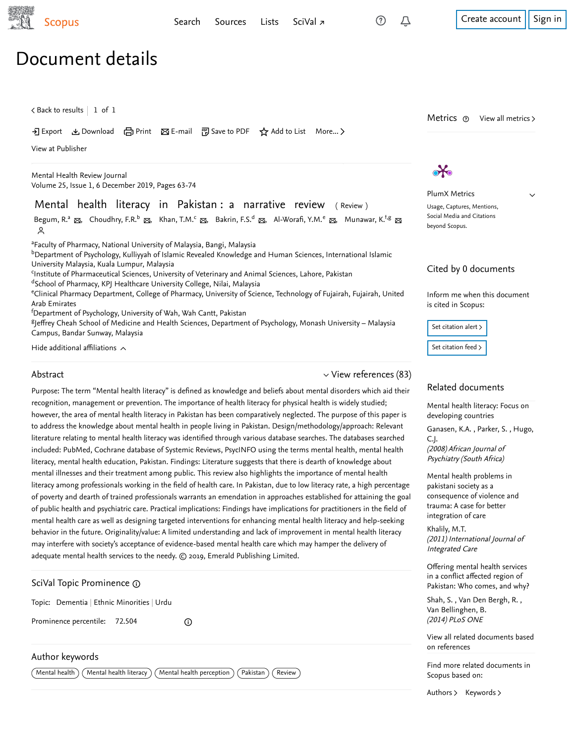Δ

 $\checkmark$ 

# Document details

 $\, <$  [Back to results](https://www-scopus-com.ezproxy.um.edu.my/results/results.uri?sort=plf-f&src=s&st1=Mental+health+literacy+in+Pakistan%3a+a+narrative+review&st2=&sid=12334b18076a32c04c23477a192929b7&sot=b&sdt=b&sl=61&s=TITLE%28Mental+health+literacy+in+Pakistan%3a+a+narrative+review%29&offset=1&origin=recordpage)  $\, \vert \,$   $\,$  1 of  $\,$  1  $\,$ 

Download 日 Print Be-mail 『別 Save to PDF ☆ Add to List More... >

[View at Publisher](https://www-scopus-com.ezproxy.um.edu.my/redirect/linking.uri?targetURL=https%3a%2f%2fdoi.org%2f10.1108%2fMHRJ-08-2019-0026&locationID=1&categoryID=4&eid=2-s2.0-85076761468&issn=13619322&linkType=ViewAtPublisher&year=2019&origin=recordpage&dig=9909ea5ac8121fa444ebfa75ccf2fff5&recordRank=)

[Mental Health Review Journal](https://www-scopus-com.ezproxy.um.edu.my/sourceid/20500195211?origin=recordpage) Volume 25, Issue 1, 6 December 2019, Pages 63-74

## Mental health literacy in Pakistan : a narrative review ( Review )

Begum[,](mailto:yworafi@yahoo.com) R.ª ⊠, Choudhry, F.R.<sup>b</sup> ⊠, Khan, T.M.<sup>c</sup> ⊠, Bakrin, F.S.<sup>d</sup> ⊠, Al-Worafi, Y.M.<sup>e</sup> ⊠, [Munawar, K.](https://www-scopus-com.ezproxy.um.edu.my/authid/detail.uri?authorId=57193001519&eid=2-s2.0-85076761468)<sup>f,g</sup> ⊠  $\sim$ 

<sup>a</sup>Faculty of Pharmacy, National University of Malaysia, Bangi, Malaysia

 $^{\rm b}$ Department of Psychology, Kulliyyah of Islamic Revealed Knowledge and Human Sciences, International Islamic University Malaysia, Kuala Lumpur, Malaysia

<sup>c</sup>Institute of Pharmaceutical Sciences, University of Veterinary and Animal Sciences, Lahore, Pakistan

<sup>d</sup>School of Pharmacy, KPJ Healthcare University College, Nilai, Malaysia

<sup>e</sup>Clinical Pharmacy Department, College of Pharmacy, University of Science, Technology of Fujairah, Fujairah, United Arab Emirates

 $^{\mathsf{f}}$ Department of Psychology, University of Wah, Wah Cantt, Pakistan

<sup>g</sup>Jeffrey Cheah School of Medicine and Health Sciences, Department of Psychology, Monash University – Malaysia Campus, Bandar Sunway, Malaysia

Hide additional affiliations  $\sim$ 

### Abstract

 $\vee$  [View references \(83\)](#page-1-0)

Purpose: The term "Mental health literacy" is defined as knowledge and beliefs about mental disorders which aid their recognition, management or prevention. The importance of health literacy for physical health is widely studied; however, the area of mental health literacy in Pakistan has been comparatively neglected. The purpose of this paper is to address the knowledge about mental health in people living in Pakistan. Design/methodology/approach: Relevant literature relating to mental health literacy was identified through various database searches. The databases searched included: PubMed, Cochrane database of Systemic Reviews, PsycINFO using the terms mental health, mental health literacy, mental health education, Pakistan. Findings: Literature suggests that there is dearth of knowledge about mental illnesses and their treatment among public. This review also highlights the importance of mental health literacy among professionals working in the field of health care. In Pakistan, due to low literacy rate, a high percentage of poverty and dearth of trained professionals warrants an emendation in approaches established for attaining the goal of public health and psychiatric care. Practical implications: Findings have implications for practitioners in the field of mental health care as well as designing targeted interventions for enhancing mental health literacy and help-seeking behavior in the future. Originality/value: A limited understanding and lack of improvement in mental health literacy may interfere with society's acceptance of evidence-based mental health care which may hamper the delivery of adequate mental health services to the needy.  $\odot$  2019, Emerald Publishing Limited.

## SciVal Topic Prominence

Topic: Dementia | Ethnic Minorities | Urdu

Prominence percentile: 72.504

## Author keywords

 $\sqrt{N}$ ental health  $\big)$   $\big($  Mental health literacy  $\big)$   $\big($  Mental health perception  $\big)$   $\big($  Pakistan  $\big)$   $\big($  Review

 $\bigcirc$ 

 $\lambda$ 

PlumX Metrics Usage, Captures, Mentions, Social Media and Citations beyond Scopus.

Metrics  $\odot$  View all metrics >

## Cited by 0 documents

Inform me when this document is cited in Scopus:

Set citation alert >

[Set citation feed](https://www-scopus-com.ezproxy.um.edu.my/results/rss/handler.uri?citeEid=2-s2.0-85076761468) >

#### Related documents

[Mental health literacy: Focus on](https://www-scopus-com.ezproxy.um.edu.my/record/display.uri?origin=recordpage&zone=relatedDocuments&eid=2-s2.0-69949110999&citeCnt=0&noHighlight=false&sort=plf-f&src=s&st1=Mental+health+literacy+in+Pakistan%3a+a+narrative+review&st2=&sid=12334b18076a32c04c23477a192929b7&sot=b&sdt=b&sl=61&s=TITLE%28Mental+health+literacy+in+Pakistan%3a+a+narrative+review%29&relpos=0) developing countries

, , [Ganasen, K.A.](https://www-scopus-com.ezproxy.um.edu.my/authid/detail.uri?origin=recordpage&authorId=23476925100&zone=relatedDocuments) [Parker, S](https://www-scopus-com.ezproxy.um.edu.my/authid/detail.uri?origin=recordpage&authorId=23502397300&zone=relatedDocuments)[. Hugo,](https://www-scopus-com.ezproxy.um.edu.my/authid/detail.uri?origin=recordpage&authorId=7006627137&zone=relatedDocuments) (2008) African Journal of Psychiatry (South Africa) C.J.

Mental health problems in pakistani society as a [consequence of violence and](https://www-scopus-com.ezproxy.um.edu.my/record/display.uri?origin=recordpage&zone=relatedDocuments&eid=2-s2.0-84903515508&citeCnt=0&noHighlight=false&sort=plf-f&src=s&st1=Mental+health+literacy+in+Pakistan%3a+a+narrative+review&st2=&sid=12334b18076a32c04c23477a192929b7&sot=b&sdt=b&sl=61&s=TITLE%28Mental+health+literacy+in+Pakistan%3a+a+narrative+review%29&relpos=1) trauma: A case for better integration of care

(2011) International Journal of Integrated Care [Khalily, M.T.](https://www-scopus-com.ezproxy.um.edu.my/authid/detail.uri?origin=recordpage&authorId=35487774300&zone=relatedDocuments)

Offering mental health services in a conflict affected region of [Pakistan: Who comes, and why?](https://www-scopus-com.ezproxy.um.edu.my/record/display.uri?origin=recordpage&zone=relatedDocuments&eid=2-s2.0-84903520498&citeCnt=0&noHighlight=false&sort=plf-f&src=s&st1=Mental+health+literacy+in+Pakistan%3a+a+narrative+review&st2=&sid=12334b18076a32c04c23477a192929b7&sot=b&sdt=b&sl=61&s=TITLE%28Mental+health+literacy+in+Pakistan%3a+a+narrative+review%29&relpos=2)

[Shah, S.](https://www-scopus-com.ezproxy.um.edu.my/authid/detail.uri?origin=recordpage&authorId=56239146500&zone=relatedDocuments), Van Den Bergh, R., (2014) PLoS ONE [Van Bellinghen, B.](https://www-scopus-com.ezproxy.um.edu.my/authid/detail.uri?origin=recordpage&authorId=56239804800&zone=relatedDocuments)

[View all related documents based](https://www-scopus-com.ezproxy.um.edu.my/search/submit/mlt.uri?eid=2-s2.0-85076761468&src=s&all=true&origin=recordpage&method=ref&zone=relatedDocuments) on references

Find more related documents in Scopus based on:

[Authors](https://www-scopus-com.ezproxy.um.edu.my/search/submit/mlt.uri?eid=2-s2.0-85076761468&src=s&all=true&origin=recordpage&method=aut&zone=relatedDocuments)> Keywords >